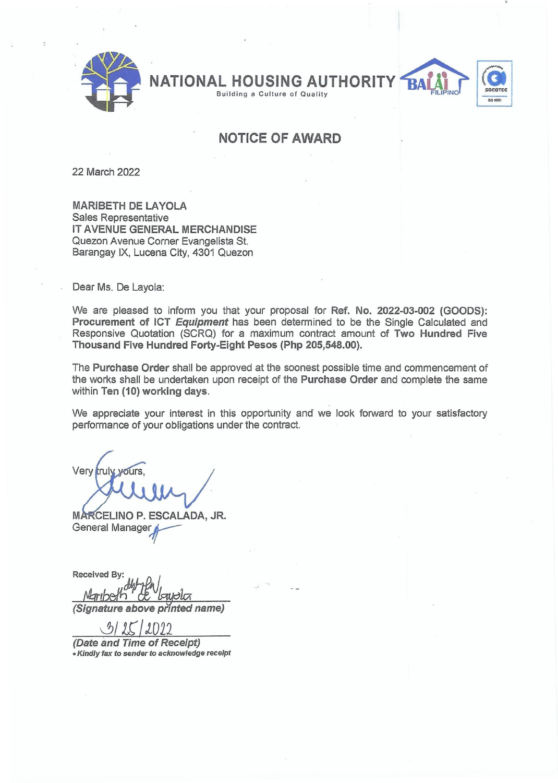

NATIONAL HOUSING AUTHORITY

**Building a Culture of Quality** 

## SOCOTEC LIO 9001

RA

## NOTICE OF **AWARD**

22 March 2022

MARIBETH DE LAYOLA Sales Representative IT AVENUE GENERAL MERCHANDISE Quezon Avenue Corner Evangelista St. Barangay IX, Lucena City, 4301 Quezon

Dear Ms. De Layola:

We are pleased to inform you that your proposal for Ref. No. 2022-03-002 (GOODS): Procurement of ICT *Equipment* has been determined to be the Single Calculated and Responsive Quotation (SCRQ) for a maximum contract amount of Two Hundred Five Thousand Five Hundred Forty-Eight Pesos (Php 205,548.00).

The Purchase Order shall be approved at the soonest possible time and commencement of the works shall be undertaken upon receipt of the Purchase Order and complete the same within Ten (10) working days.

We appreciate your interest in this opportunity and we look forward to your satisfactory performance of your obligations under the contract.

Very truly yours.

MARCELINO P. ESCALADA, JR. General Manager

**Received By:** *tJhrrbeJh' tt \J faJp}!A (Signature above printed name)* 

*0J/lt It022* 

*(Date and Time* of *Receipt) • Kindly* fax *to sender to acknowledge receipt*